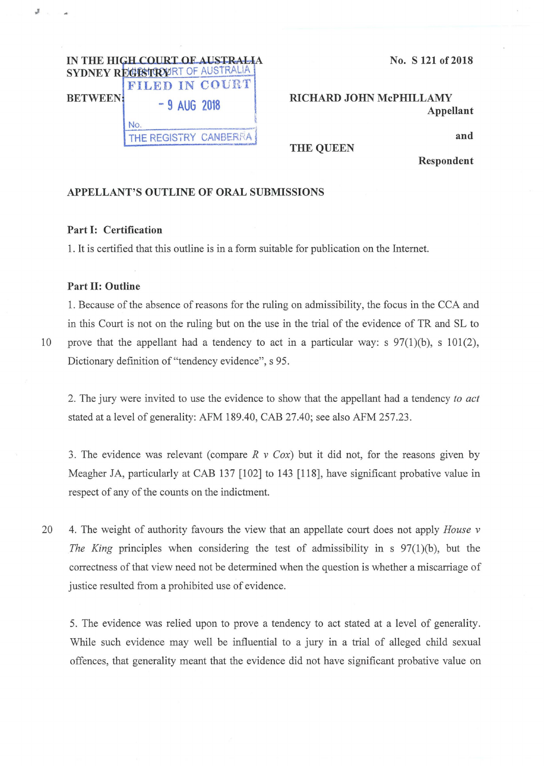

No. S 121 of 2018

RICHARD JOHN McPHILLAMY Appellant

and

THE QUEEN

Respondent

## APPELLANT'S OUTLINE OF ORAL SUBMISSIONS

## Part I: Certification

1. It is certified that this outline is in a form suitable for publication on the Internet.

## Part II: Outline

1. Because of the absence of reasons for the ruling on admissibility, the focus in the CCA and in this Court is not on the ruling but on the use in the trial of the evidence of TR and SL to 10 prove that the appellant had a tendency to act in a particular way: s 97(1)(b), s 101(2), Dictionary definition of "tendency evidence", s 95.

2. The jury were invited to use the evidence to show that the appellant had a tendency *to act*  stated at a level of generality: AFM 189.40, CAB 27.40; see also AFM 257.23.

3. The evidence was relevant (compare *R v Cox)* but it did not, for the reasons given by Meagher JA, particularly at CAB 137 [102] to 143 [118], have significant probative value in respect of any of the counts on the indictment.

20 4. The weight of authority favours the view that an appellate court does not apply *House v The King* principles when considering the test of admissibility in s 97(1)(b), but the correctness of that view need not be determined when the question is whether a miscarriage of justice resulted from a prohibited use of evidence.

5. The evidence was relied upon to prove a tendency to act stated at a level of generality. While such evidence may well be influential to a jury in a trial of alleged child sexual offences, that generality meant that the evidence did not have significant probative value on

J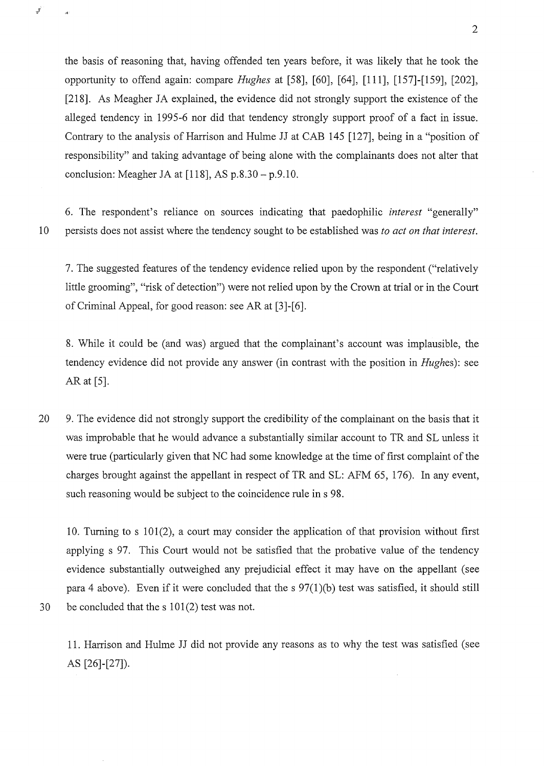the basis of reasoning that, having offended ten years before, it was likely that he took the opportunity to offend again: compare *Hughes* at [58], [60], [64], **[111],** [157]-[159], [202], [218]. As Meagher JA explained, the evidence did not strongly support the existence of the alleged tendency in 1995-6 nor did that tendency strongly support proof of a fact in issue. Contrary to the analysis of Harrison and Hulme JJ at CAB 145 [127], being in a "position of responsibility" and taking advantage of being alone with the complainants does not alter that conclusion: Meagher JA at  $[118]$ , AS p.8.30 - p.9.10.

6. The respondent's reliance on sources indicating that paedophilic *interest* "generally" 10 persists does not assist where the tendency sought to be established was *to act on that interest.* 

7. The suggested features of the tendency evidence relied upon by the respondent ("relatively little grooming", "risk of detection") were not relied upon by the Crown at trial or in the Court of Criminal Appeal, for good reason: see AR at [3]-[6].

8. While it could be (and was) argued that the complainant's account was implausible, the tendency evidence did not provide any answer (in contrast with the position in *Hughes):* see AR at [5].

20 9. The evidence did not strongly support the credibility of the complainant on the basis that it was improbable that he would advance a substantially similar account to TR and SL unless it were true (particularly given that NC had some knowledge at the time of first complaint of the charges brought against the appellant in respect of TR and SL: AFM 65, 176). In any event, such reasoning would be subject to the coincidence rule in s 98.

10. Turning to s 101(2), a court may consider the application of that provision without first applying s 97. This Court would not be satisfied that the probative value of the tendency evidence substantially outweighed any prejudicial effect it may have on the appellant (see para 4 above). Even if it were concluded that the s  $97(1)(b)$  test was satisfied, it should still 30 be concluded that the s 101(2) test was not.

 $\mathcal{J}$ 

11. Harrison and Hulme JJ did not provide any reasons as to why the test was satisfied (see AS [26]-[27]).